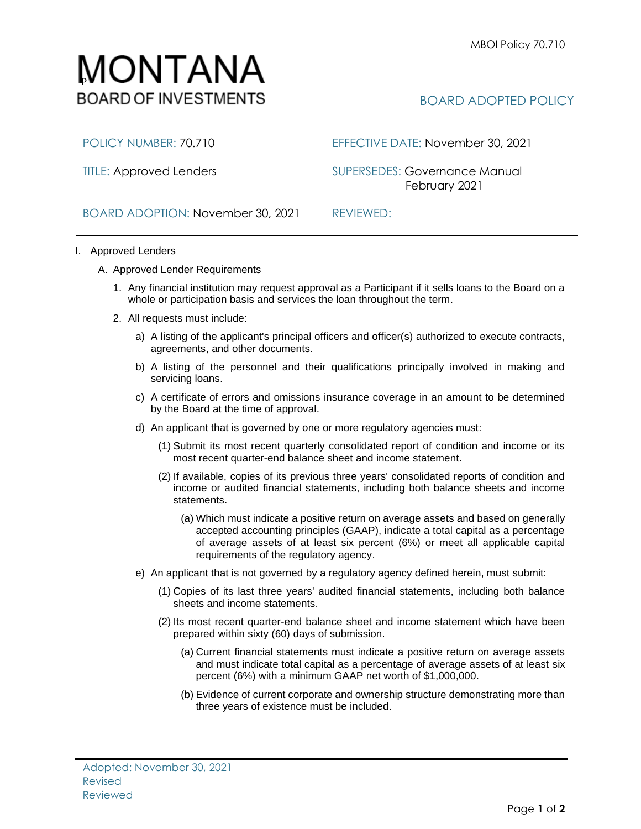

POLICY NUMBER: 70.710 EFFECTIVE DATE: November 30, 2021

TITLE: Approved Lenders SUPERSEDES: Governance Manual February 2021

BOARD ADOPTION: November 30, 2021 REVIEWED:

- I. Approved Lenders
	- A. Approved Lender Requirements
		- 1. Any financial institution may request approval as a Participant if it sells loans to the Board on a whole or participation basis and services the loan throughout the term.
		- 2. All requests must include:
			- a) A listing of the applicant's principal officers and officer(s) authorized to execute contracts, agreements, and other documents.
			- b) A listing of the personnel and their qualifications principally involved in making and servicing loans.
			- c) A certificate of errors and omissions insurance coverage in an amount to be determined by the Board at the time of approval.
			- d) An applicant that is governed by one or more regulatory agencies must:
				- (1) Submit its most recent quarterly consolidated report of condition and income or its most recent quarter-end balance sheet and income statement.
				- (2) If available, copies of its previous three years' consolidated reports of condition and income or audited financial statements, including both balance sheets and income statements.
					- (a) Which must indicate a positive return on average assets and based on generally accepted accounting principles (GAAP), indicate a total capital as a percentage of average assets of at least six percent (6%) or meet all applicable capital requirements of the regulatory agency.
			- e) An applicant that is not governed by a regulatory agency defined herein, must submit:
				- (1) Copies of its last three years' audited financial statements, including both balance sheets and income statements.
				- (2) Its most recent quarter-end balance sheet and income statement which have been prepared within sixty (60) days of submission.
					- (a) Current financial statements must indicate a positive return on average assets and must indicate total capital as a percentage of average assets of at least six percent (6%) with a minimum GAAP net worth of \$1,000,000.
					- (b) Evidence of current corporate and ownership structure demonstrating more than three years of existence must be included.